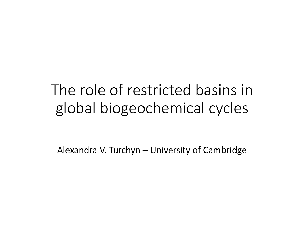## The role of restricted basins in global biogeochemical cycles

Alexandra V. Turchyn – University of Cambridge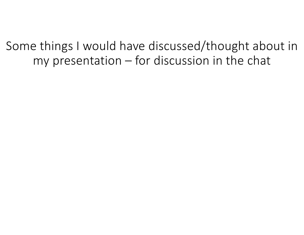Some things I would have discussed/thought about in my presentation – for discussion in the chat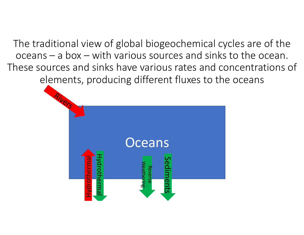The traditional view of global biogeochemical cycles are of the oceans – a box – with various sources and sinks to the ocean. These sources and sinks have various rates and concentrations of elements, producing different fluxes to the oceans

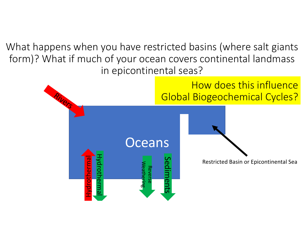What happens when you have restricted basins (where salt giants form)? What if much of your ocean covers continental landmass in epicontinental seas?

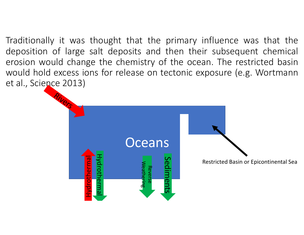Traditionally it was thought that the primary influence was that the deposition of large salt deposits and then their subsequent chemical erosion would change the chemistry of the ocean. The restricted basin would hold excess ions for release on tectonic exposure (e.g. Wortmann et al., Science 2013)

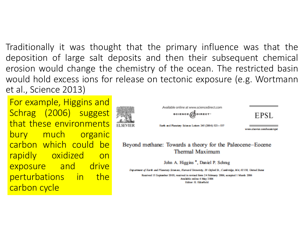Traditionally it was thought that the primary influence was that the deposition of large salt deposits and then their subsequent chemical erosion would change the chemistry of the ocean. The restricted basin would hold excess ions for release on tectonic exposure (e.g. Wortmann et al., Science 2013)

For example, Higgins and Schrag (2006) suggest that these environments bury much organic carbon which could be rapidly oxidized on exposure and drive perturbations in the carbon cycle



**SCIENCE** MOIRECT-Earth and Manetary Science Letters 245 (2006) 523-537

Available online at www.sciencedirect.com

www.alsoviet.com/ocats/end

EPSL

Beyond methane: Towards a theory for the Paleocene-Eocene **Thermal Maximum** 

John A. Higgins<sup>\*</sup>, Daniel P. Schrag

Department of Earth and Planetary Sciences, Harvard University, 20 Oxford St., Cambridge, MA, 02138, United States

Requived 15 September 2005; requived in revised form 24 February 2006; accepted 1 March 2006 Available online 6 May 2006 **Editor: H. Eklarfield**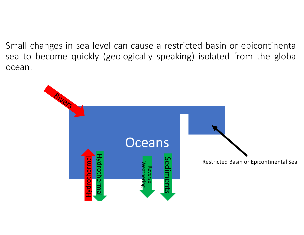Small changes in sea level can cause a restricted basin or epicontinental sea to become quickly (geologically speaking) isolated from the global ocean.

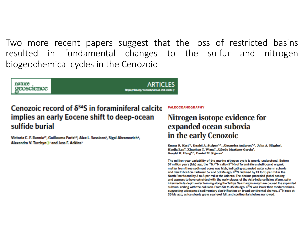Two more recent papers suggest that the loss of restricted basins resulted in fundamental changes to the sulfur and nitrogen biogeochemical cycles in the Cenozoic

nature peoscience https://doi.org/60.9038/689

## Cenozoic record of  $\delta^{34}S$  in foraminiferal calcite implies an early Eocene shift to deep-ocean sulfide burial

Victoria C. F. Rennie<sup>16</sup>, Guillaume Paris<sup>2,2</sup>, Alex L. Sessions<sup>2</sup>, Sigal Abramovich<sup>4</sup>, Alexandra V. Turchyn C<sup>1</sup> and Jess F. Adkins<sup>2</sup>

**PALEOCEANOGRAPHY** 

## Nitrogen isotope evidence for expanded ocean suboxia in the early Cenozoic

Emma R. Kast<sup>1</sup>\*, Daniel A. Stolper<sup>2,3</sup>, Alexandra Auderset<sup>4,5</sup>, John A. Higgins<sup>1</sup>, Haojia Ren<sup>6</sup>, Xingchen T. Wang<sup>7</sup>, Alfredo Martínez-García<sup>4</sup>, Gerald H. Hang<sup>4,5</sup>, Daniel M. Sigman<sup>1</sup>

The million-year variability of the marine nitrogen cycle is poorly understood. Before 57 million years (Ma) ago, the <sup>15</sup>N/<sup>14</sup>N ratio (8<sup>15</sup>N) of foraminifera shell-bound organic matter from three sediment cores was high, indicating expanded water column suboxia and denitrification. Between 57 and 50 Ma ago,  $\delta^{15}N$  declined by 13 to 16 per mil in the North Pacific and by 3 to 8 per mil in the Atlantic. The decline preceded global cooling and appears to have coincided with the early stages of the Asia-India collision. Warm, salty intermediate-depth water forming along the Tethys Sea margins may have caused the expanded suboxia, ending with the collision. From 50 to 35 Ma ago,  $\delta^{15}N$  was lower than modern values, suggesting widespread sedimentary denitrification on broad continental shelves. 8<sup>15</sup>N rose at 35 Ma ago, as ice sheets grew, sea level fell, and continental shelves narrowed.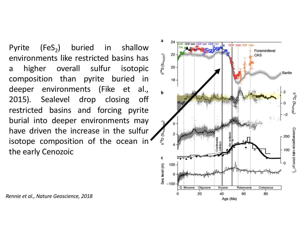Pyrite  $(FeS_2)$  buried in shallow environments like restricted basins has a higher overall sulfur isotopic composition than pyrite buried in deeper environments (Fike et al., 2015). Sealevel drop closing off restricted basins and forcing pyrite burial into deeper environments may have driven the increase in the sulfur isotope composition of the ocean in the early Cenozoic



*Rennie et al., Nature Geoscience, 2018*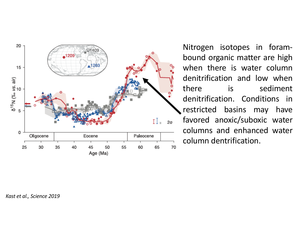

Nitrogen isotopes in forambound organic matter are high when there is water column denitrification and low when there is sediment denitrification. Conditions in restricted basins may have favored anoxic/suboxic water columns and enhanced water column dentrification.

*Kast et al., Science 2019*